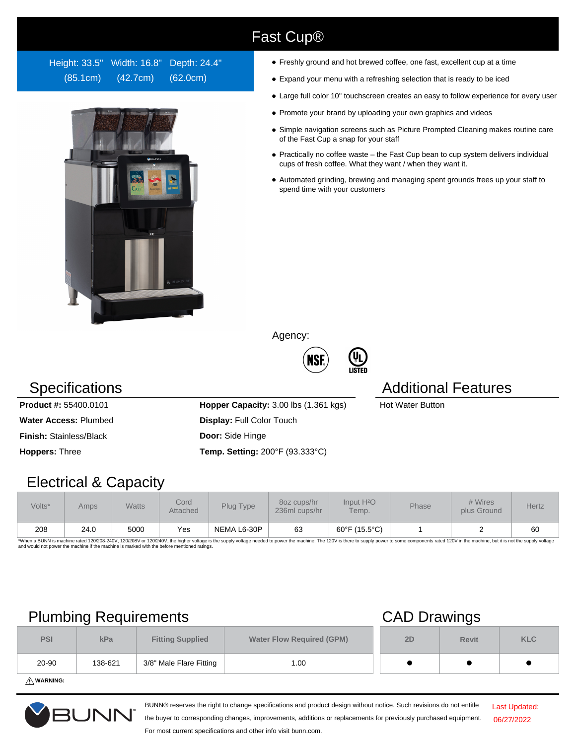### Height: 33.5" Width: 16.8" Depth: 24.4" (85.1cm) (42.7cm) (62.0cm)



- Freshly ground and hot brewed coffee, one fast, excellent cup at a time
- Expand your menu with a refreshing selection that is ready to be iced
- Large full color 10" touchscreen creates an easy to follow experience for every user
- Promote your brand by uploading your own graphics and videos
- Simple navigation screens such as Picture Prompted Cleaning makes routine care of the Fast Cup a snap for your staff
- Practically no coffee waste the Fast Cup bean to cup system delivers individual cups of fresh coffee. What they want / when they want it.
- Automated grinding, brewing and managing spent grounds frees up your staff to spend time with your customers

Agency:

Fast Cup®



### Specifications **Additional Features** Additional Features

**Water Access: Plumbed <b>Display:** Full Color Touch

**Product #:** 55400.0101 **Hopper Capacity:** 3.00 lbs (1.361 kgs) Hot Water Button

**Finish:** Stainless/Black **Door:** Side Hinge

**Hoppers:** Three **Temp. Setting:** 200°F (93.333°C)

## Electrical & Capacity

| Volts*                                                             | Amps | <b>Watts</b> | Cord<br><b>Attached</b> | Plug Type   | 80z cups/hr<br>236ml cups/hr | Input H <sup>2</sup> O<br>Temp. | <b>Phase</b> | # Wires<br>plus Ground | Hertz |
|--------------------------------------------------------------------|------|--------------|-------------------------|-------------|------------------------------|---------------------------------|--------------|------------------------|-------|
| 208<br>$\sim$ $\sim$ $\sim$ $\sim$ $\sim$ $\sim$ $\sim$<br>$-22.4$ | 24.0 | 5000         | Yes                     | NEMA L6-30P | 63                           | 60°F (15.5°C)                   |              |                        | 60    |

\*When a BUNN is machine rated 120/208-240V, 120/208V or 120/240V, the higher voltage is the supply voltage needed to power the machine. The 120V is there to supply power to some components rated 120V in the machine, but it

## Plumbing Requirements CAD Drawings

| <b>PSI</b> | kPa     | <b>Fitting Supplied</b> | <b>Water Flow Required (GPM)</b> | 2D | <b>Revit</b> | <b>KLC</b> |
|------------|---------|-------------------------|----------------------------------|----|--------------|------------|
| 20-90      | 138-621 | 3/8" Male Flare Fitting | 1.00                             |    |              |            |

**WARNING:**



BUNN® reserves the right to change specifications and product design without notice. Such revisions do not entitle

Last Updated: 06/27/2022

the buyer to corresponding changes, improvements, additions or replacements for previously purchased equipment. For most current specifications and other info visit bunn.com.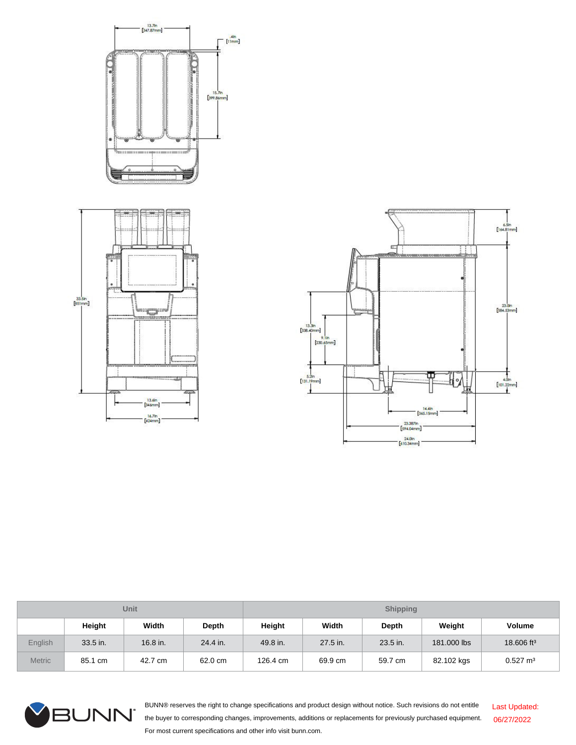



| <b>Unit</b>    |          |          |          | <b>Shipping</b> |          |              |             |                        |  |
|----------------|----------|----------|----------|-----------------|----------|--------------|-------------|------------------------|--|
|                | Height   | Width    | Depth    | Height          | Width    | <b>Depth</b> | Weight      | <b>Volume</b>          |  |
| <b>English</b> | 33.5 in. | 16.8 in. | 24.4 in. | 49.8 in.        | 27.5 in. | 23.5 in.     | 181.000 lbs | 18.606 ft <sup>3</sup> |  |
| <b>Metric</b>  | 85.1 cm  | 42.7 cm  | 62.0 cm  | 126.4 cm        | 69.9 cm  | 59.7 cm      | 82.102 kgs  | $0.527 \text{ m}^3$    |  |



BUNN® reserves the right to change specifications and product design without notice. Such revisions do not entitle the buyer to corresponding changes, improvements, additions or replacements for previously purchased equipment. For most current specifications and other info visit bunn.com. Last Updated: 06/27/2022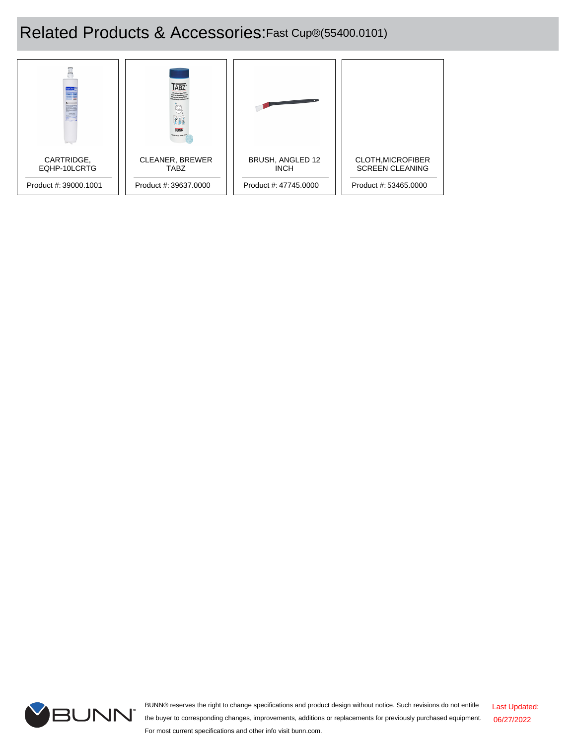# Related Products & Accessories:Fast Cup®(55400.0101)